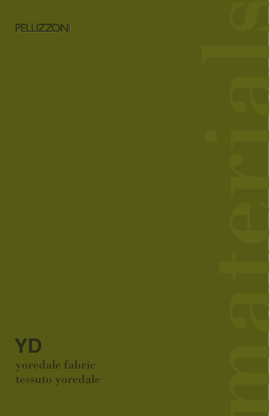

YD yoredale fabric tessuto yoredale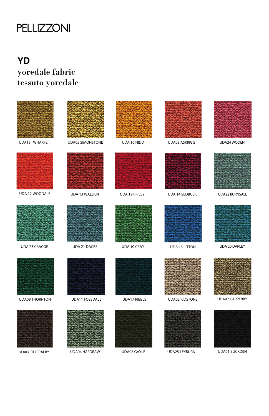## **PELLIZZONI**

# **YD**

### yoredale fabric tessuto yoredale



UDA08 GAYLE